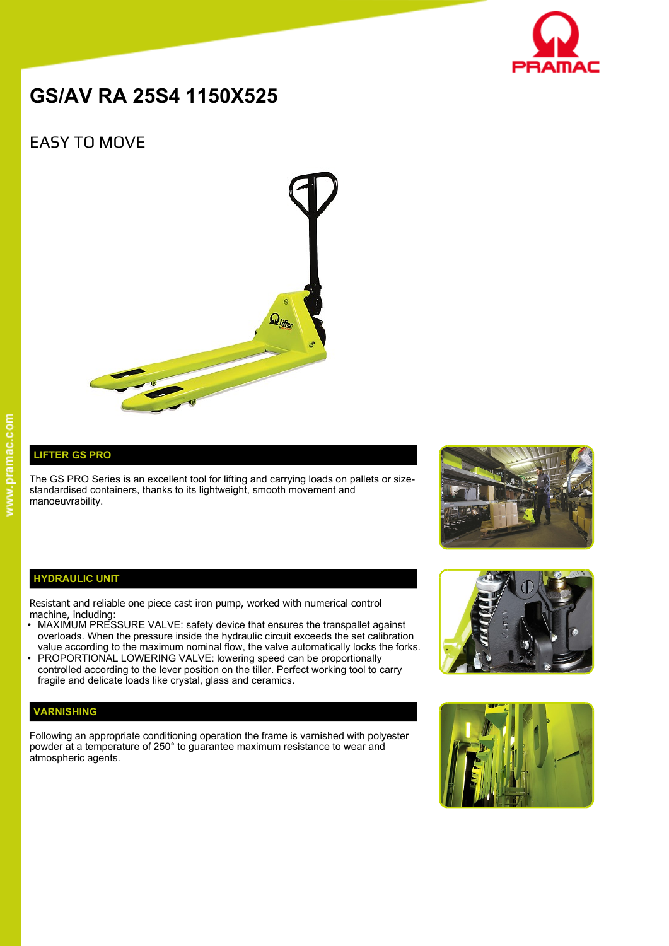

# **GS/AV RA 25S4 1150X525**

# EASY TO MOVE



## **LIFTER GS PRO**

The GS PRO Series is an excellent tool for lifting and carrying loads on pallets or sizestandardised containers, thanks to its lightweight, smooth movement and manoeuvrability.



#### **HYDRAULIC UNIT**

Resistant and reliable one piece cast iron pump, worked with numerical control machine, including:

- MAXIMUM PRESSURE VALVE: safety device that ensures the transpallet against overloads. When the pressure inside the hydraulic circuit exceeds the set calibration value according to the maximum nominal flow, the valve automatically locks the forks.
- PROPORTIONAL LOWERING VALVE: lowering speed can be proportionally controlled according to the lever position on the tiller. Perfect working tool to carry fragile and delicate loads like crystal, glass and ceramics.

### **VARNISHING**

Following an appropriate conditioning operation the frame is varnished with polyester powder at a temperature of 250° to guarantee maximum resistance to wear and atmospheric agents.



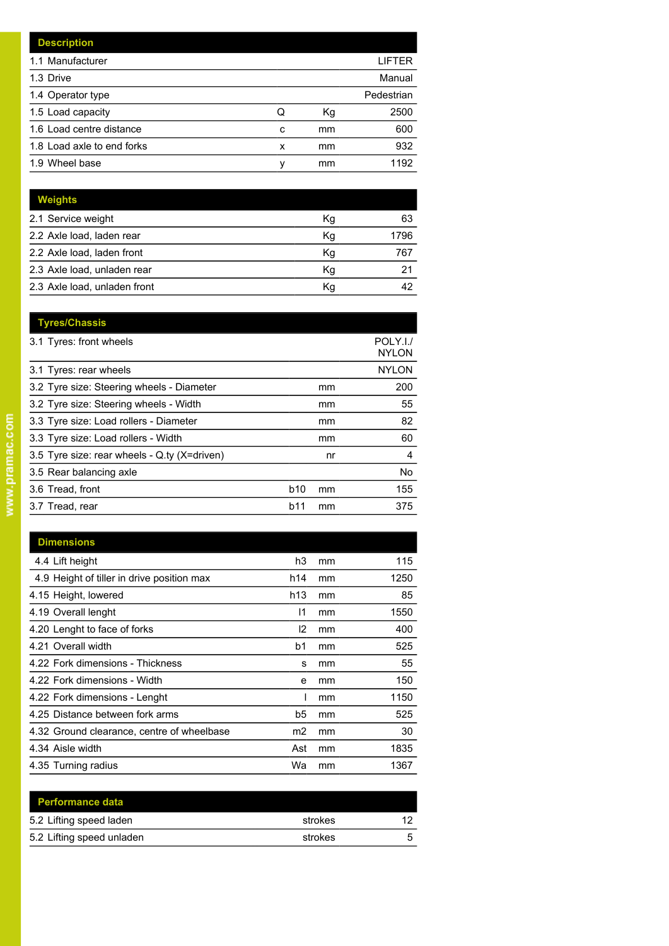|   |    | LIFTER     |
|---|----|------------|
|   |    | Manual     |
|   |    | Pedestrian |
| Q | Кg | 2500       |
| C | mm | 600        |
| x | mm | 932        |
| ν | mm | 1192       |
|   |    |            |

| <b>Weights</b>               |    |      |
|------------------------------|----|------|
| 2.1 Service weight           | Κq | 63   |
| 2.2 Axle load, laden rear    | Kg | 1796 |
| 2.2 Axle load, laden front   | Kg | 767  |
| 2.3 Axle load, unladen rear  | Kg | 21   |
| 2.3 Axle load, unladen front | Κq | 42   |

|     |    | POLY.I./<br><b>NYLON</b> |
|-----|----|--------------------------|
|     |    | <b>NYLON</b>             |
|     | mm | 200                      |
|     | mm | 55                       |
|     | mm | 82                       |
|     | mm | 60                       |
|     | nr | 4                        |
|     |    | No                       |
| b10 | mm | 155                      |
| b11 | mm | 375                      |
|     |    |                          |

| <b>Dimensions</b>                          |                 |    |      |
|--------------------------------------------|-----------------|----|------|
| 4.4 Lift height                            | h3              | mm | 115  |
| 4.9 Height of tiller in drive position max | h14             | mm | 1250 |
| 4.15 Height, lowered                       | h <sub>13</sub> | mm | 85   |
| 4.19 Overall lenght                        | 11              | mm | 1550 |
| 4.20 Lenght to face of forks               | 12              | mm | 400  |
| 4.21 Overall width                         | b1              | mm | 525  |
| 4.22 Fork dimensions - Thickness           | s               | mm | 55   |
| 4.22 Fork dimensions - Width               | e               | mm | 150  |
| 4.22 Fork dimensions - Lenght              |                 | mm | 1150 |
| 4.25 Distance between fork arms            | b5              | mm | 525  |
| 4.32 Ground clearance, centre of wheelbase | m2              | mm | 30   |
| 4.34 Aisle width                           | Ast             | mm | 1835 |
| 4.35 Turning radius                        | Wa              | mm | 1367 |

| <b>Performance data</b>   |         |  |
|---------------------------|---------|--|
| 5.2 Lifting speed laden   | strokes |  |
| 5.2 Lifting speed unladen | strokes |  |
|                           |         |  |